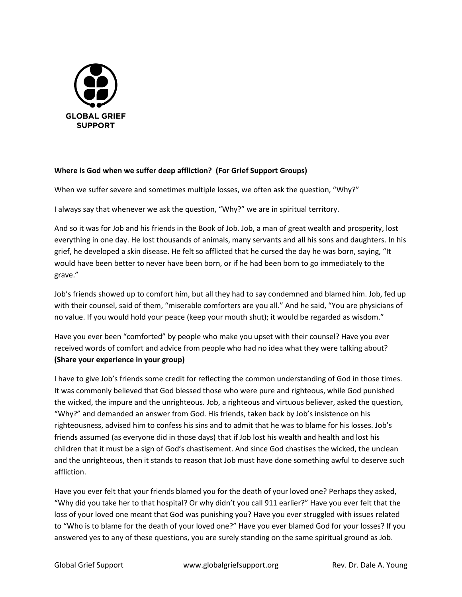

## **Where is God when we suffer deep affliction? (For Grief Support Groups)**

When we suffer severe and sometimes multiple losses, we often ask the question, "Why?"

I always say that whenever we ask the question, "Why?" we are in spiritual territory.

And so it was for Job and his friends in the Book of Job. Job, a man of great wealth and prosperity, lost everything in one day. He lost thousands of animals, many servants and all his sons and daughters. In his grief, he developed a skin disease. He felt so afflicted that he cursed the day he was born, saying, "It would have been better to never have been born, or if he had been born to go immediately to the grave."

Job's friends showed up to comfort him, but all they had to say condemned and blamed him. Job, fed up with their counsel, said of them, "miserable comforters are you all." And he said, "You are physicians of no value. If you would hold your peace (keep your mouth shut); it would be regarded as wisdom."

Have you ever been "comforted" by people who make you upset with their counsel? Have you ever received words of comfort and advice from people who had no idea what they were talking about? **(Share your experience in your group)**

I have to give Job's friends some credit for reflecting the common understanding of God in those times. It was commonly believed that God blessed those who were pure and righteous, while God punished the wicked, the impure and the unrighteous. Job, a righteous and virtuous believer, asked the question, "Why?" and demanded an answer from God. His friends, taken back by Job's insistence on his righteousness, advised him to confess his sins and to admit that he was to blame for his losses. Job's friends assumed (as everyone did in those days) that if Job lost his wealth and health and lost his children that it must be a sign of God's chastisement. And since God chastises the wicked, the unclean and the unrighteous, then it stands to reason that Job must have done something awful to deserve such affliction.

Have you ever felt that your friends blamed you for the death of your loved one? Perhaps they asked, "Why did you take her to that hospital? Or why didn't you call 911 earlier?" Have you ever felt that the loss of your loved one meant that God was punishing you? Have you ever struggled with issues related to "Who is to blame for the death of your loved one?" Have you ever blamed God for your losses? If you answered yes to any of these questions, you are surely standing on the same spiritual ground as Job.